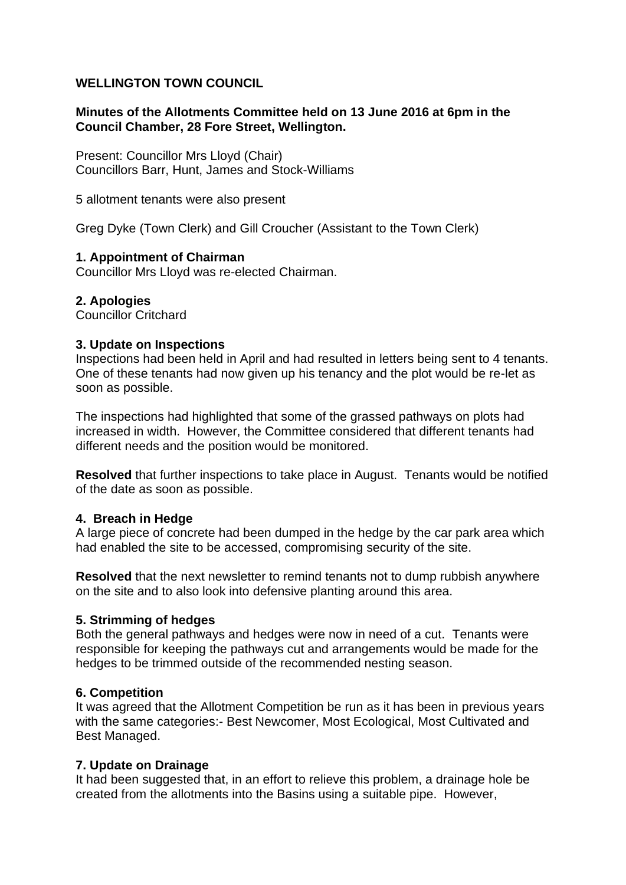## **WELLINGTON TOWN COUNCIL**

## **Minutes of the Allotments Committee held on 13 June 2016 at 6pm in the Council Chamber, 28 Fore Street, Wellington.**

Present: Councillor Mrs Lloyd (Chair) Councillors Barr, Hunt, James and Stock-Williams

5 allotment tenants were also present

Greg Dyke (Town Clerk) and Gill Croucher (Assistant to the Town Clerk)

#### **1. Appointment of Chairman**

Councillor Mrs Lloyd was re-elected Chairman.

## **2. Apologies**

Councillor Critchard

#### **3. Update on Inspections**

Inspections had been held in April and had resulted in letters being sent to 4 tenants. One of these tenants had now given up his tenancy and the plot would be re-let as soon as possible.

The inspections had highlighted that some of the grassed pathways on plots had increased in width. However, the Committee considered that different tenants had different needs and the position would be monitored.

**Resolved** that further inspections to take place in August. Tenants would be notified of the date as soon as possible.

#### **4. Breach in Hedge**

A large piece of concrete had been dumped in the hedge by the car park area which had enabled the site to be accessed, compromising security of the site.

**Resolved** that the next newsletter to remind tenants not to dump rubbish anywhere on the site and to also look into defensive planting around this area.

#### **5. Strimming of hedges**

Both the general pathways and hedges were now in need of a cut. Tenants were responsible for keeping the pathways cut and arrangements would be made for the hedges to be trimmed outside of the recommended nesting season.

#### **6. Competition**

It was agreed that the Allotment Competition be run as it has been in previous years with the same categories:- Best Newcomer, Most Ecological, Most Cultivated and Best Managed.

#### **7. Update on Drainage**

It had been suggested that, in an effort to relieve this problem, a drainage hole be created from the allotments into the Basins using a suitable pipe. However,